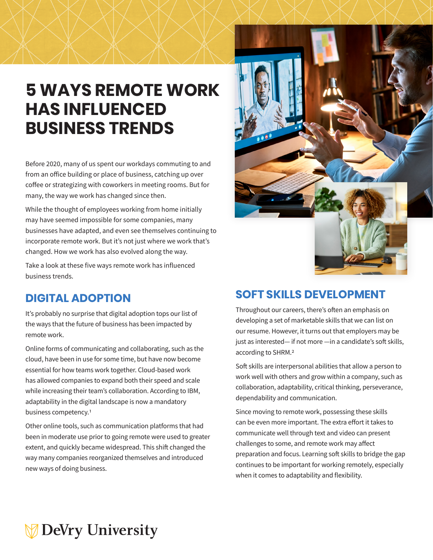## **5 WAYS REMOTE WORK HAS INFLUENCED BUSINESS TRENDS**

Before 2020, many of us spent our workdays commuting to and from an office building or place of business, catching up over coffee or strategizing with coworkers in meeting rooms. But for many, the way we work has changed since then.

While the thought of employees working from home initially may have seemed impossible for some companies, many businesses have adapted, and even see themselves continuing to incorporate remote work. But it's not just where we work that's changed. How we work has also evolved along the way.

Take a look at these five ways remote work has influenced business trends.

### **DIGITAL ADOPTION**

It's probably no surprise that digital adoption tops our list of the ways that the future of business has been impacted by remote work.

Online forms of communicating and collaborating, such as the cloud, have been in use for some time, but have now become essential for how teams work together. Cloud-based work has allowed companies to expand both their speed and scale while increasing their team's collaboration. According to IBM, adaptability in the digital landscape is now a mandatory business competency.1

Other online tools, such as communication platforms that had been in moderate use prior to going remote were used to greater extent, and quickly became widespread. This shift changed the way many companies reorganized themselves and introduced new ways of doing business.



### **SOFT SKILLS DEVELOPMENT**

Throughout our careers, there's often an emphasis on developing a set of marketable skills that we can list on our resume. However, it turns out that employers may be just as interested— if not more —in a candidate's soft skills, according to SHRM.2

Soft skills are interpersonal abilities that allow a person to work well with others and grow within a company, such as collaboration, adaptability, critical thinking, perseverance, dependability and communication.

Since moving to remote work, possessing these skills can be even more important. The extra effort it takes to communicate well through text and video can present challenges to some, and remote work may affect preparation and focus. Learning soft skills to bridge the gap continues to be important for working remotely, especially when it comes to adaptability and flexibility.

# **DeVry University**